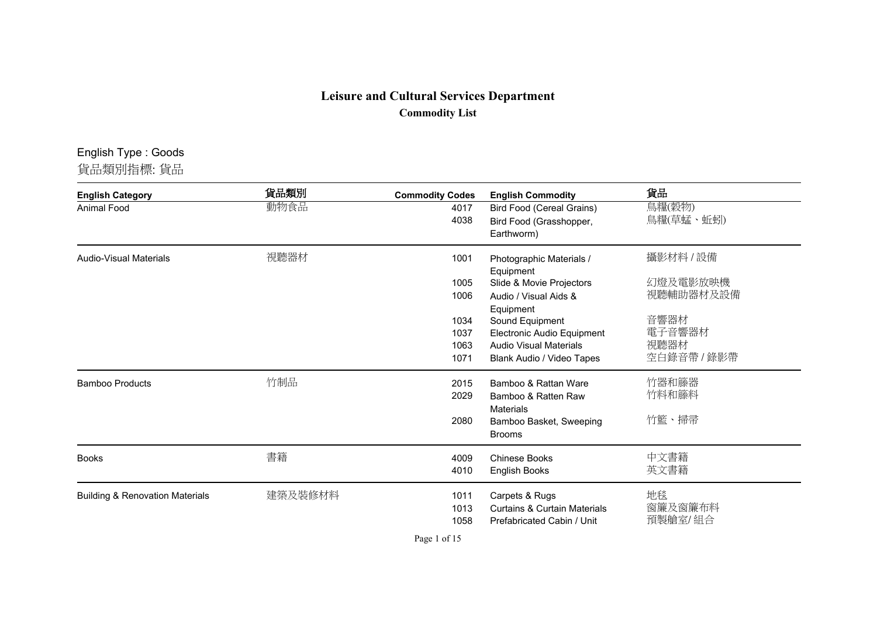## **Leisure and Cultural Services Department Commodity List**

## English Type : Goods

貨品類別指標: 貨品

| <b>English Category</b>                    | 貨品類別    | <b>Commodity Codes</b> | <b>English Commodity</b>                                    | 貨品                  |
|--------------------------------------------|---------|------------------------|-------------------------------------------------------------|---------------------|
| Animal Food                                | 動物食品    | 4017<br>4038           | <b>Bird Food (Cereal Grains)</b><br>Bird Food (Grasshopper, | 鳥糧(穀物)<br>鳥糧(草蜢、蚯蚓) |
|                                            |         |                        | Earthworm)                                                  |                     |
| <b>Audio-Visual Materials</b>              | 視聽器材    | 1001                   | Photographic Materials /<br>Equipment                       | 攝影材料 / 設備           |
|                                            |         | 1005                   | Slide & Movie Projectors                                    | 幻燈及電影放映機            |
|                                            |         | 1006                   | Audio / Visual Aids &<br>Equipment                          | 視聽輔助器材及設備           |
|                                            |         | 1034                   | Sound Equipment                                             | 音響器材                |
|                                            |         | 1037                   | Electronic Audio Equipment                                  | 電子音響器材              |
|                                            |         | 1063                   | <b>Audio Visual Materials</b>                               | 視聽器材                |
|                                            |         | 1071                   | Blank Audio / Video Tapes                                   | 空白錄音帶 / 錄影帶         |
| <b>Bamboo Products</b>                     | 竹制品     | 2015                   | Bamboo & Rattan Ware                                        | 竹器和籐器               |
|                                            |         | 2029                   | Bamboo & Ratten Raw<br><b>Materials</b>                     | 竹料和籐料               |
|                                            |         | 2080                   | Bamboo Basket, Sweeping                                     | 竹籃、掃帚               |
|                                            |         |                        | <b>Brooms</b>                                               |                     |
| <b>Books</b>                               | 書籍      | 4009                   | <b>Chinese Books</b>                                        | 中文書籍                |
|                                            |         | 4010                   | English Books                                               | 英文書籍                |
| <b>Building &amp; Renovation Materials</b> | 建築及裝修材料 | 1011                   | Carpets & Rugs                                              | 地毯                  |
|                                            |         | 1013                   | <b>Curtains &amp; Curtain Materials</b>                     | 窗簾及窗簾布料             |
|                                            |         | 1058                   | Prefabricated Cabin / Unit                                  | 預製艙室/組合             |

Page 1 of 15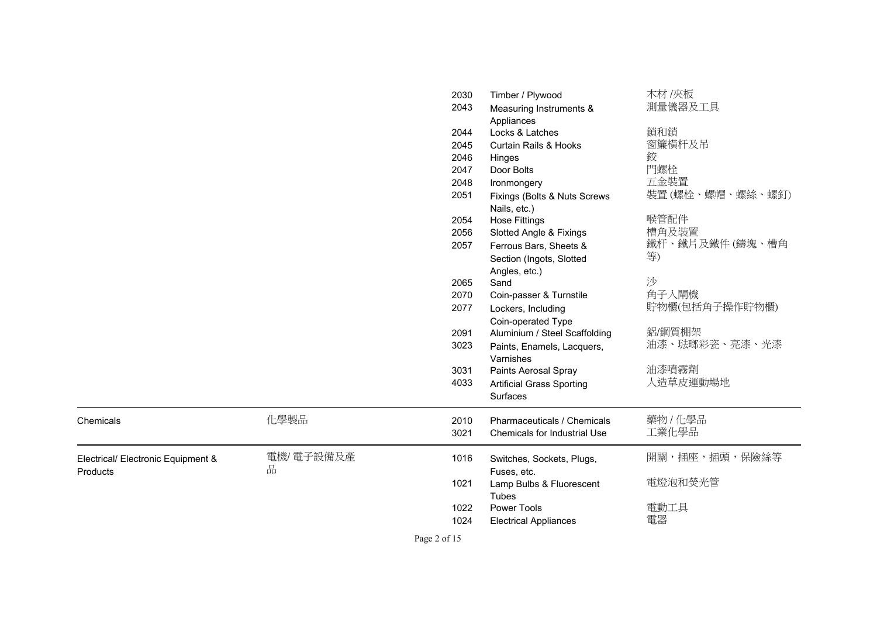|                                    |           | 2030 | Timber / Plywood                 | 木材 /夾板                |
|------------------------------------|-----------|------|----------------------------------|-----------------------|
|                                    |           | 2043 | Measuring Instruments &          | 測量儀器及工具               |
|                                    |           |      | Appliances                       |                       |
|                                    |           | 2044 | Locks & Latches                  | 鎖和鎖                   |
|                                    |           | 2045 | <b>Curtain Rails &amp; Hooks</b> | 窗簾橫杆及吊                |
|                                    |           | 2046 | Hinges                           | 鉸                     |
|                                    |           | 2047 | Door Bolts                       | 門螺栓                   |
|                                    |           | 2048 | Ironmongery                      | 五金裝置                  |
|                                    |           | 2051 | Fixings (Bolts & Nuts Screws     | 装置 (螺栓、螺帽、螺絲、螺釘)      |
|                                    |           |      | Nails, etc.)                     |                       |
|                                    |           | 2054 | <b>Hose Fittings</b>             | 喉管配件                  |
|                                    |           | 2056 | Slotted Angle & Fixings          | 槽角及裝置                 |
|                                    |           | 2057 | Ferrous Bars, Sheets &           | 鐵杆、鐵片及鐵件 (鑄塊、槽角<br>等) |
|                                    |           |      | Section (Ingots, Slotted         |                       |
|                                    |           |      | Angles, etc.)                    | 沙                     |
|                                    |           | 2065 | Sand                             |                       |
|                                    |           | 2070 | Coin-passer & Turnstile          | 角子入閘機                 |
|                                    |           | 2077 | Lockers, Including               | 貯物櫃(包括角子操作貯物櫃)        |
|                                    |           |      | Coin-operated Type               |                       |
|                                    |           | 2091 | Aluminium / Steel Scaffolding    | 鋁/鋼質棚架                |
|                                    |           | 3023 | Paints, Enamels, Lacquers,       | 油漆、琺瑯彩瓷、亮漆、光漆         |
|                                    |           |      | Varnishes                        |                       |
|                                    |           | 3031 | Paints Aerosal Spray             | 油漆噴霧劑                 |
|                                    |           | 4033 | <b>Artificial Grass Sporting</b> | 人造草皮運動場地              |
|                                    |           |      | Surfaces                         |                       |
| Chemicals                          | 化學製品      | 2010 | Pharmaceuticals / Chemicals      | 藥物/化學品                |
|                                    |           | 3021 | Chemicals for Industrial Use     | 工業化學品                 |
|                                    |           |      |                                  |                       |
| Electrical/ Electronic Equipment & | 電機/電子設備及產 | 1016 | Switches, Sockets, Plugs,        | 開關,插座,插頭,保險絲等         |
| Products                           | 品         |      | Fuses, etc.                      |                       |
|                                    |           | 1021 | Lamp Bulbs & Fluorescent         | 電燈泡和熒光管               |
|                                    |           |      | Tubes                            |                       |
|                                    |           | 1022 | Power Tools                      | 電動工具                  |
|                                    |           | 1024 | <b>Electrical Appliances</b>     | 電器                    |
|                                    |           |      |                                  |                       |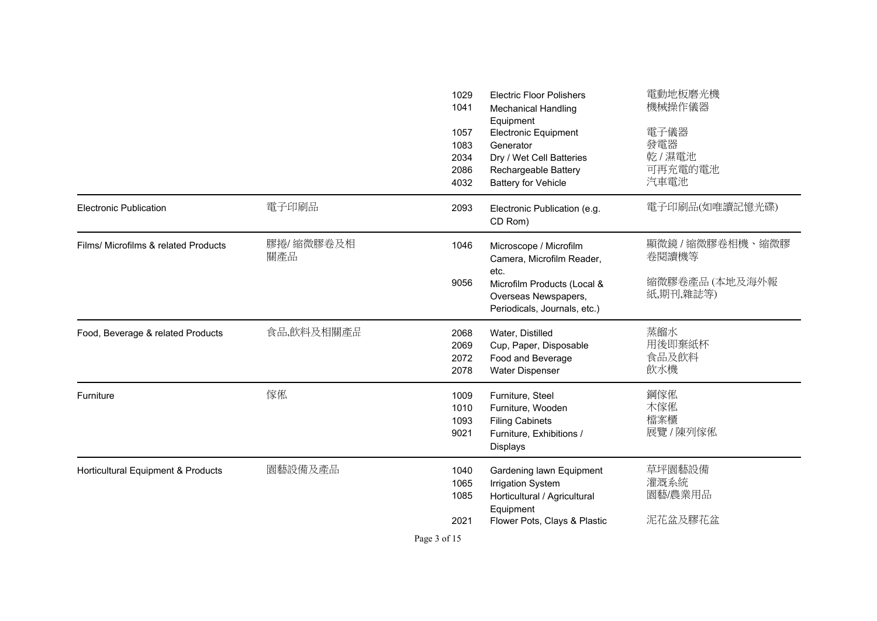|                                      |                  | 1029<br>1041<br>1057<br>1083<br>2034<br>2086<br>4032 | <b>Electric Floor Polishers</b><br><b>Mechanical Handling</b><br>Equipment<br><b>Electronic Equipment</b><br>Generator<br>Dry / Wet Cell Batteries<br>Rechargeable Battery<br><b>Battery for Vehicle</b> | 電動地板磨光機<br>機械操作儀器<br>電子儀器<br>發電器<br>乾/濕電池<br>可再充電的電池<br>汽車電池 |
|--------------------------------------|------------------|------------------------------------------------------|----------------------------------------------------------------------------------------------------------------------------------------------------------------------------------------------------------|--------------------------------------------------------------|
| <b>Electronic Publication</b>        | 電子印刷品            | 2093                                                 | Electronic Publication (e.g.<br>CD Rom)                                                                                                                                                                  | 電子印刷品(如唯讀記憶光碟)                                               |
| Films/ Microfilms & related Products | 膠捲/縮微膠卷及相<br>關產品 | 1046<br>9056                                         | Microscope / Microfilm<br>Camera, Microfilm Reader,<br>etc.<br>Microfilm Products (Local &<br>Overseas Newspapers,<br>Periodicals, Journals, etc.)                                                       | 顯微鏡 / 縮微膠卷相機、縮微膠<br>卷閱讀機等<br>縮微膠卷產品 (本地及海外報<br>紙,期刊,雜誌等)     |
| Food, Beverage & related Products    | 食品,飲料及相關產品       | 2068<br>2069<br>2072<br>2078                         | Water, Distilled<br>Cup, Paper, Disposable<br>Food and Beverage<br>Water Dispenser                                                                                                                       | 蒸餾水<br>用後即棄紙杯<br>食品及飲料<br>飲水機                                |
| Furniture                            | 傢俬               | 1009<br>1010<br>1093<br>9021                         | Furniture, Steel<br>Furniture, Wooden<br><b>Filing Cabinets</b><br>Furniture, Exhibitions /<br><b>Displays</b>                                                                                           | 鋼傢俬<br>木傢俬<br>檔案櫃<br>展覽 / 陳列傢俬                               |
| Horticultural Equipment & Products   | 園藝設備及產品          | 1040<br>1065<br>1085<br>2021                         | Gardening lawn Equipment<br><b>Irrigation System</b><br>Horticultural / Agricultural<br>Equipment<br>Flower Pots, Clays & Plastic                                                                        | 草坪園藝設備<br>灌溉系統<br>園藝/農業用品<br>泥花盆及膠花盆                         |

Page 3 of 15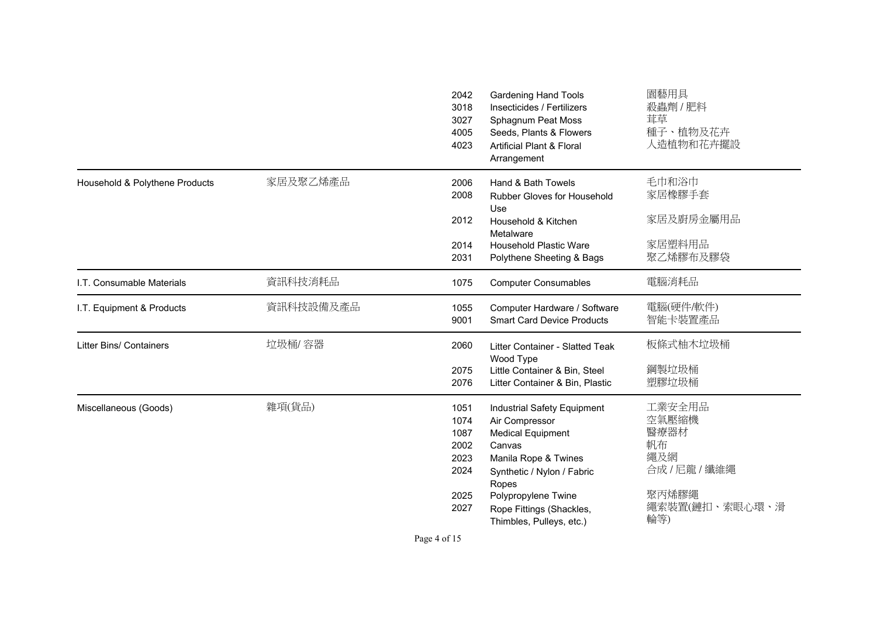|                                |           | 2042<br>3018<br>3027<br>4005<br>4023                         | Gardening Hand Tools<br>Insecticides / Fertilizers<br>Sphagnum Peat Moss<br>Seeds, Plants & Flowers<br><b>Artificial Plant &amp; Floral</b><br>Arrangement                                                                        | 園藝用具<br>殺蟲劑 / 肥料<br>茸草<br>種子、植物及花卉<br>人造植物和花卉擺設                                         |
|--------------------------------|-----------|--------------------------------------------------------------|-----------------------------------------------------------------------------------------------------------------------------------------------------------------------------------------------------------------------------------|-----------------------------------------------------------------------------------------|
| Household & Polythene Products | 家居及聚乙烯產品  | 2006<br>2008                                                 | Hand & Bath Towels<br><b>Rubber Gloves for Household</b><br>Use                                                                                                                                                                   | 毛巾和浴巾<br>家居橡膠手套                                                                         |
|                                |           | 2012                                                         | Household & Kitchen<br>Metalware                                                                                                                                                                                                  | 家居及廚房金屬用品                                                                               |
|                                |           | 2014<br>2031                                                 | <b>Household Plastic Ware</b><br>Polythene Sheeting & Bags                                                                                                                                                                        | 家居塑料用品<br>聚乙烯膠布及膠袋                                                                      |
| I.T. Consumable Materials      | 資訊科技消耗品   | 1075                                                         | <b>Computer Consumables</b>                                                                                                                                                                                                       | 電腦消耗品                                                                                   |
| I.T. Equipment & Products      | 資訊科技設備及產品 | 1055<br>9001                                                 | Computer Hardware / Software<br><b>Smart Card Device Products</b>                                                                                                                                                                 | 電腦(硬件/軟件)<br>智能卡裝置產品                                                                    |
| <b>Litter Bins/ Containers</b> | 垃圾桶/容器    | 2060                                                         | Litter Container - Slatted Teak                                                                                                                                                                                                   | 板條式柚木垃圾桶                                                                                |
|                                |           | 2075<br>2076                                                 | Wood Type<br>Little Container & Bin, Steel<br>Litter Container & Bin, Plastic                                                                                                                                                     | 鋼製垃圾桶<br>塑膠垃圾桶                                                                          |
| Miscellaneous (Goods)          | 雜項(貨品)    | 1051<br>1074<br>1087<br>2002<br>2023<br>2024<br>2025<br>2027 | Industrial Safety Equipment<br>Air Compressor<br><b>Medical Equipment</b><br>Canvas<br>Manila Rope & Twines<br>Synthetic / Nylon / Fabric<br>Ropes<br>Polypropylene Twine<br>Rope Fittings (Shackles,<br>Thimbles, Pulleys, etc.) | 工業安全用品<br>空氣壓縮機<br>醫療器材<br>帆布<br>繩及網<br>合成 / 尼龍 / 纖維繩<br>聚丙烯膠繩<br>繩索裝置(鏈扣、索眼心環、滑<br>輪等) |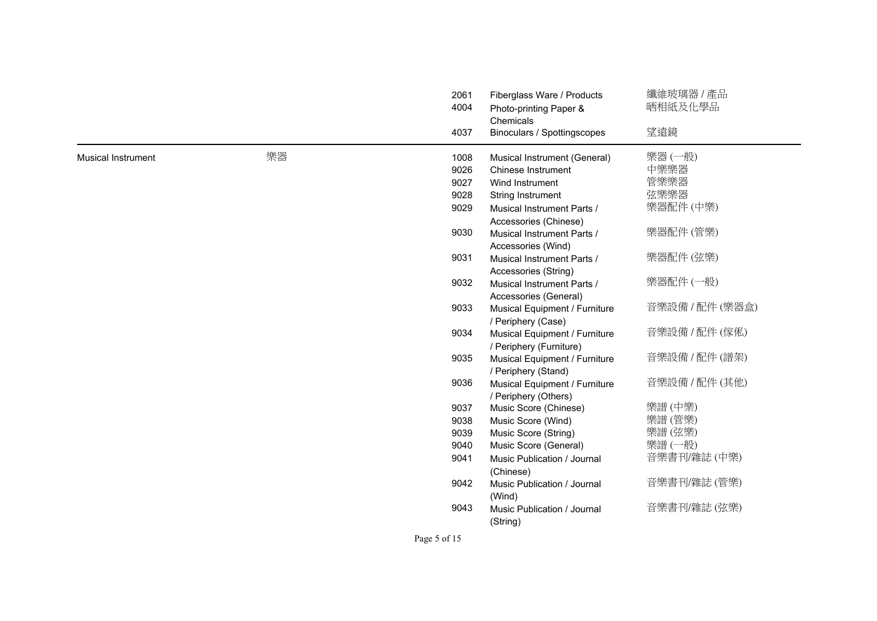|                           |    | 2061<br>4004 | Fiberglass Ware / Products<br>Photo-printing Paper & | 纖維玻璃器 / 產品<br>晒相紙及化學品 |
|---------------------------|----|--------------|------------------------------------------------------|-----------------------|
|                           |    | 4037         | Chemicals<br>Binoculars / Spottingscopes             | 望遠鏡                   |
| <b>Musical Instrument</b> | 樂器 | 1008         | Musical Instrument (General)                         | 樂器 (一般)               |
|                           |    | 9026         | Chinese Instrument                                   | 中樂樂器                  |
|                           |    | 9027         | Wind Instrument                                      | 管樂樂器                  |
|                           |    | 9028         | String Instrument                                    | 弦樂樂器                  |
|                           |    | 9029         | Musical Instrument Parts /                           | 樂器配件 (中樂)             |
|                           |    |              | Accessories (Chinese)                                |                       |
|                           |    | 9030         | Musical Instrument Parts /                           | 樂器配件 (管樂)             |
|                           |    |              | Accessories (Wind)                                   |                       |
|                           |    | 9031         | Musical Instrument Parts /                           | 樂器配件 (弦樂)             |
|                           |    |              | Accessories (String)                                 |                       |
|                           |    | 9032         | Musical Instrument Parts /                           | 樂器配件 (一般)             |
|                           |    |              | Accessories (General)                                |                       |
|                           |    | 9033         | Musical Equipment / Furniture                        | 音樂設備 / 配件 (樂器盒)       |
|                           |    |              | / Periphery (Case)                                   |                       |
|                           |    | 9034         | Musical Equipment / Furniture                        | 音樂設備 / 配件 (傢俬)        |
|                           |    |              | / Periphery (Furniture)                              |                       |
|                           |    | 9035         | Musical Equipment / Furniture                        | 音樂設備 / 配件 (譜架)        |
|                           |    |              | / Periphery (Stand)                                  |                       |
|                           |    | 9036         | Musical Equipment / Furniture                        | 音樂設備 / 配件 (其他)        |
|                           |    |              | / Periphery (Others)                                 |                       |
|                           |    | 9037         | Music Score (Chinese)                                | 樂譜 (中樂)               |
|                           |    | 9038<br>9039 | Music Score (Wind)                                   | 樂譜 (管樂)<br>樂譜(弦樂)     |
|                           |    | 9040         | Music Score (String)<br>Music Score (General)        | 樂譜 (一般)               |
|                           |    | 9041         |                                                      | 音樂書刊/雜誌 (中樂)          |
|                           |    |              | Music Publication / Journal<br>(Chinese)             |                       |
|                           |    | 9042         | Music Publication / Journal                          | 音樂書刊/雜誌 (管樂)          |
|                           |    |              | (Wind)                                               |                       |
|                           |    | 9043         | Music Publication / Journal                          | 音樂書刊/雜誌 (弦樂)          |
|                           |    |              | (String)                                             |                       |
|                           |    | Page 5 of 15 |                                                      |                       |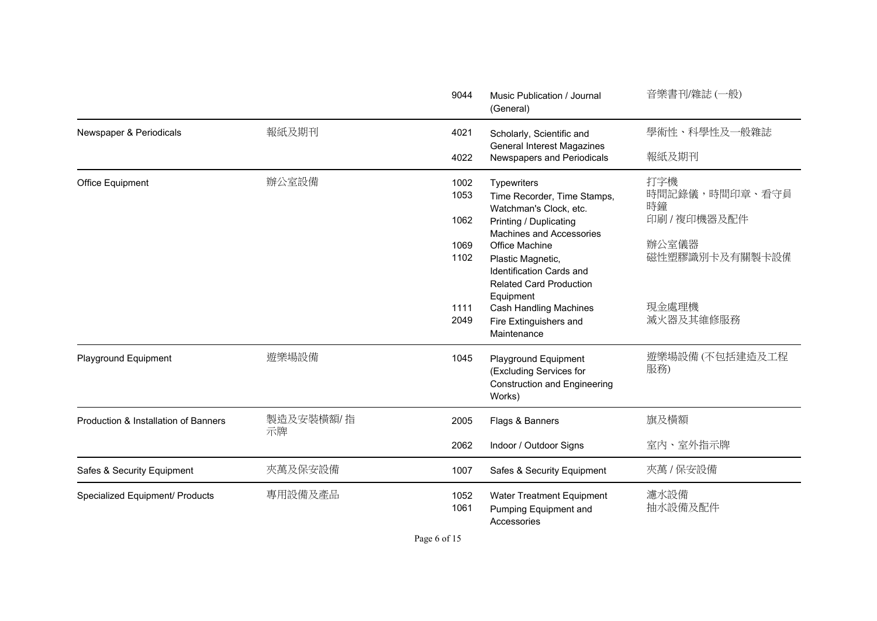|                                      |                 | 9044         | Music Publication / Journal<br>(General)                                                            | 音樂書刊/雜誌 (一般)                |
|--------------------------------------|-----------------|--------------|-----------------------------------------------------------------------------------------------------|-----------------------------|
| Newspaper & Periodicals              | 報紙及期刊           | 4021         | Scholarly, Scientific and                                                                           | 學術性、科學性及一般雜誌                |
|                                      |                 | 4022         | <b>General Interest Magazines</b><br>Newspapers and Periodicals                                     | 報紙及期刊                       |
| Office Equipment                     | 辦公室設備           | 1002<br>1053 | Typewriters<br>Time Recorder, Time Stamps,<br>Watchman's Clock, etc.                                | 打字機<br>時間記錄儀,時間印章、看守員<br>時鐘 |
|                                      |                 | 1062         | Printing / Duplicating<br>Machines and Accessories                                                  | 印刷 / 複印機器及配件                |
|                                      |                 | 1069         | Office Machine                                                                                      | 辦公室儀器                       |
|                                      |                 | 1102         | Plastic Magnetic,<br><b>Identification Cards and</b><br><b>Related Card Production</b><br>Equipment | 磁性塑膠識別卡及有關製卡設備              |
|                                      |                 | 1111<br>2049 | <b>Cash Handling Machines</b><br>Fire Extinguishers and<br>Maintenance                              | 現金處理機<br>滅火器及其維修服務          |
| Playground Equipment                 | 遊樂場設備           | 1045         | Playground Equipment<br>(Excluding Services for<br><b>Construction and Engineering</b><br>Works)    | 遊樂場設備(不包括建造及工程<br>服務)       |
| Production & Installation of Banners | 製造及安裝橫額/指<br>示牌 | 2005         | Flags & Banners                                                                                     | 旗及橫額                        |
|                                      |                 | 2062         | Indoor / Outdoor Signs                                                                              | 室内、室外指示牌                    |
| Safes & Security Equipment           | 夾萬及保安設備         | 1007         | Safes & Security Equipment                                                                          | 夾萬 / 保安設備                   |
| Specialized Equipment/ Products      | 專用設備及產品         | 1052<br>1061 | Water Treatment Equipment<br>Pumping Equipment and<br>Accessories                                   | 濾水設備<br>抽水設備及配件             |

Page 6 of 15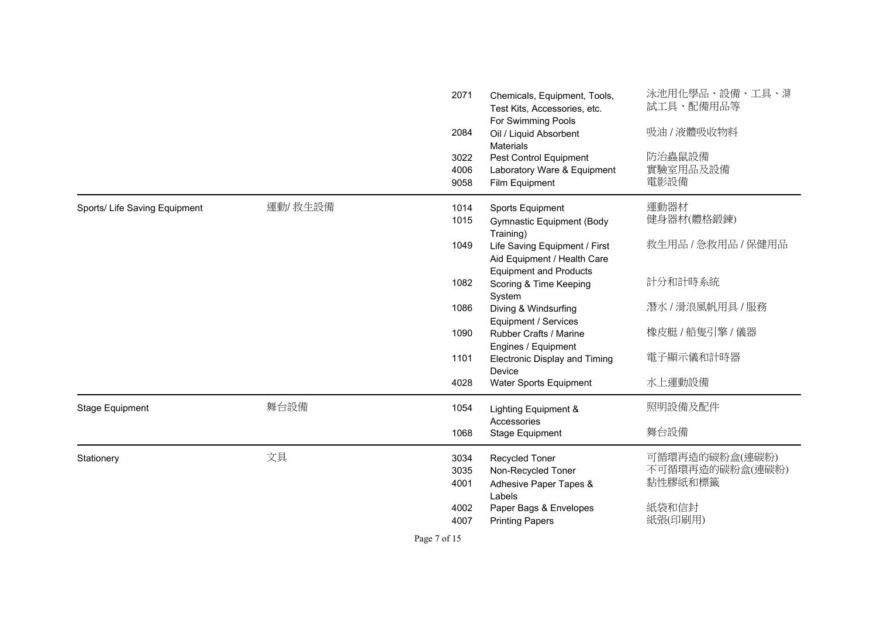|                               |         | 2071<br>2084<br>3022<br>4006<br>9058 | Chemicals, Equipment, Tools,<br>Test Kits, Accessories, etc.<br>For Swimming Pools<br>Oil / Liquid Absorbent<br><b>Materials</b><br>Pest Control Equipment<br>Laboratory Ware & Equipment<br>Film Equipment | 泳池用化學品、設備、工具、測<br>試工具、配備用品等<br>吸油 / 液體吸收物料<br>防治蟲鼠設備<br>實驗室用品及設備<br>電影設備 |
|-------------------------------|---------|--------------------------------------|-------------------------------------------------------------------------------------------------------------------------------------------------------------------------------------------------------------|--------------------------------------------------------------------------|
| Sports/ Life Saving Equipment | 運動/救生設備 | 1014<br>1015                         | Sports Equipment<br><b>Gymnastic Equipment (Body</b><br>Training)                                                                                                                                           | 運動器材<br>健身器材(體格鍛鍊)                                                       |
|                               |         | 1049                                 | Life Saving Equipment / First<br>Aid Equipment / Health Care<br><b>Equipment and Products</b>                                                                                                               | 救生用品 / 急救用品 / 保健用品                                                       |
|                               |         | 1082                                 | Scoring & Time Keeping<br>System                                                                                                                                                                            | 計分和計時系統                                                                  |
|                               |         | 1086                                 | Diving & Windsurfing<br>Equipment / Services                                                                                                                                                                | 潛水 / 滑浪風帆用具 / 服務                                                         |
|                               |         | 1090                                 | Rubber Crafts / Marine<br>Engines / Equipment                                                                                                                                                               | 橡皮艇 / 船隻引擎 / 儀器                                                          |
|                               |         | 1101                                 | <b>Electronic Display and Timing</b><br>Device                                                                                                                                                              | 電子顯示儀和計時器                                                                |
|                               |         | 4028                                 | Water Sports Equipment                                                                                                                                                                                      | 水上運動設備                                                                   |
| Stage Equipment               | 舞台設備    | 1054                                 | Lighting Equipment &                                                                                                                                                                                        | 照明設備及配件                                                                  |
|                               |         | 1068                                 | Accessories<br>Stage Equipment                                                                                                                                                                              | 舞台設備                                                                     |
| Stationery                    | 文具      | 3034<br>3035<br>4001<br>4002         | Recycled Toner<br>Non-Recycled Toner<br>Adhesive Paper Tapes &<br>Labels                                                                                                                                    | 可循環再造的碳粉盒(連碳粉)<br>不可循環再造的碳粉盒(連碳粉)<br>黏性膠紙和標籤<br>紙袋和信封                    |
|                               |         | 4007                                 | Paper Bags & Envelopes<br><b>Printing Papers</b>                                                                                                                                                            | 紙張(印刷用)                                                                  |

Page 7 of 15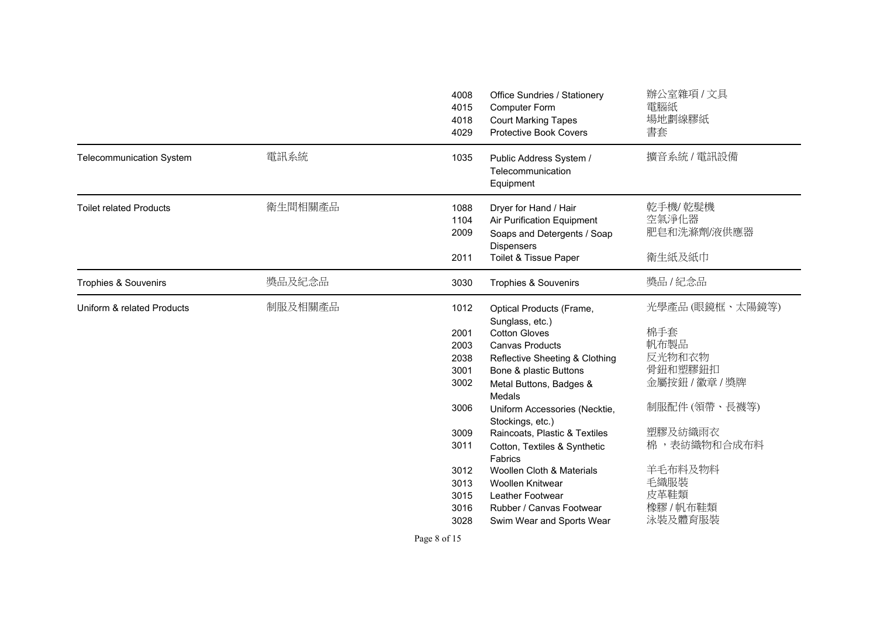|                                 |         | 4008<br>4015<br>4018<br>4029                                                                         | Office Sundries / Stationery<br>Computer Form<br><b>Court Marking Tapes</b><br><b>Protective Book Covers</b>                                                                                                                                                                                                                                                                                                                     | 辦公室雜項 / 文具<br>電腦紙<br>場地劃線膠紙<br>書套                                                                                                                                  |
|---------------------------------|---------|------------------------------------------------------------------------------------------------------|----------------------------------------------------------------------------------------------------------------------------------------------------------------------------------------------------------------------------------------------------------------------------------------------------------------------------------------------------------------------------------------------------------------------------------|--------------------------------------------------------------------------------------------------------------------------------------------------------------------|
| <b>Telecommunication System</b> | 電訊系統    | 1035                                                                                                 | Public Address System /<br>Telecommunication<br>Equipment                                                                                                                                                                                                                                                                                                                                                                        | 擴音系統 / 電訊設備                                                                                                                                                        |
| <b>Toilet related Products</b>  | 衛生間相關產品 | 1088<br>1104<br>2009<br>2011                                                                         | Dryer for Hand / Hair<br>Air Purification Equipment<br>Soaps and Detergents / Soap<br><b>Dispensers</b><br>Toilet & Tissue Paper                                                                                                                                                                                                                                                                                                 | 乾手機/乾髮機<br>空氣淨化器<br>肥皂和洗滌劑/液供應器<br>衛生紙及紙巾                                                                                                                          |
| Trophies & Souvenirs            | 獎品及紀念品  | 3030                                                                                                 | Trophies & Souvenirs                                                                                                                                                                                                                                                                                                                                                                                                             | 獎品 / 紀念品                                                                                                                                                           |
| Uniform & related Products      | 制服及相關產品 | 1012<br>2001<br>2003<br>2038<br>3001<br>3002<br>3006<br>3009<br>3011<br>3012<br>3013<br>3015<br>3016 | Optical Products (Frame,<br>Sunglass, etc.)<br><b>Cotton Gloves</b><br><b>Canvas Products</b><br>Reflective Sheeting & Clothing<br>Bone & plastic Buttons<br>Metal Buttons, Badges &<br>Medals<br>Uniform Accessories (Necktie,<br>Stockings, etc.)<br>Raincoats, Plastic & Textiles<br>Cotton, Textiles & Synthetic<br>Fabrics<br>Woollen Cloth & Materials<br>Woollen Knitwear<br>Leather Footwear<br>Rubber / Canvas Footwear | 光學產品(眼鏡框、太陽鏡等)<br>棉手套<br>帆布製品<br>反光物和衣物<br>骨鈕和塑膠鈕扣<br>金屬按鈕 / 徽章 / 獎牌<br>制服配件 (領帶、長襪等)<br>塑膠及紡織雨衣<br>棉,表纺織物和合成布料<br>羊毛布料及物料<br>毛織服裝<br>皮革鞋類<br>橡膠 / 帆布鞋類<br>泳裝及體育服裝 |

Page 8 of 15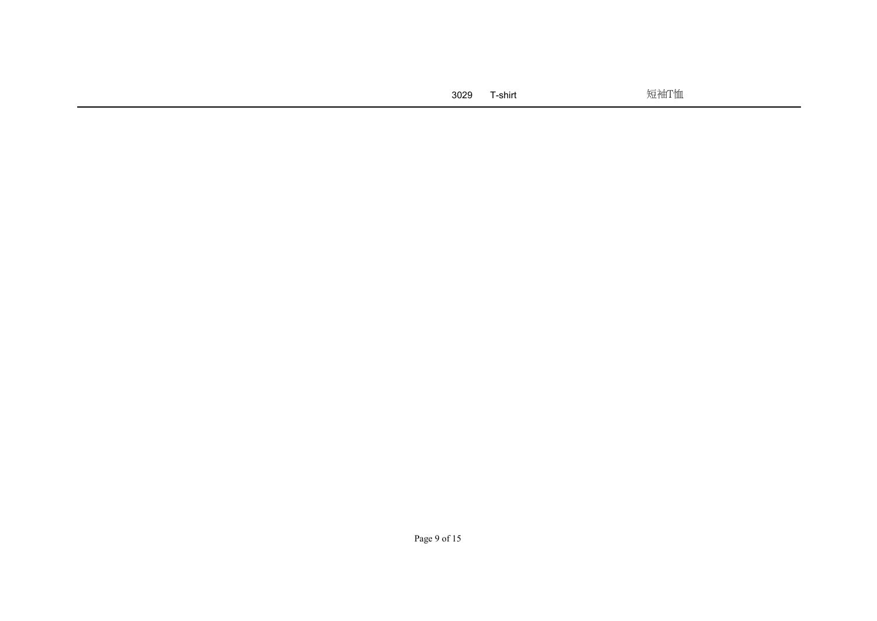| 3029 | T-shirt | 短袖T恤 |
|------|---------|------|
|      |         |      |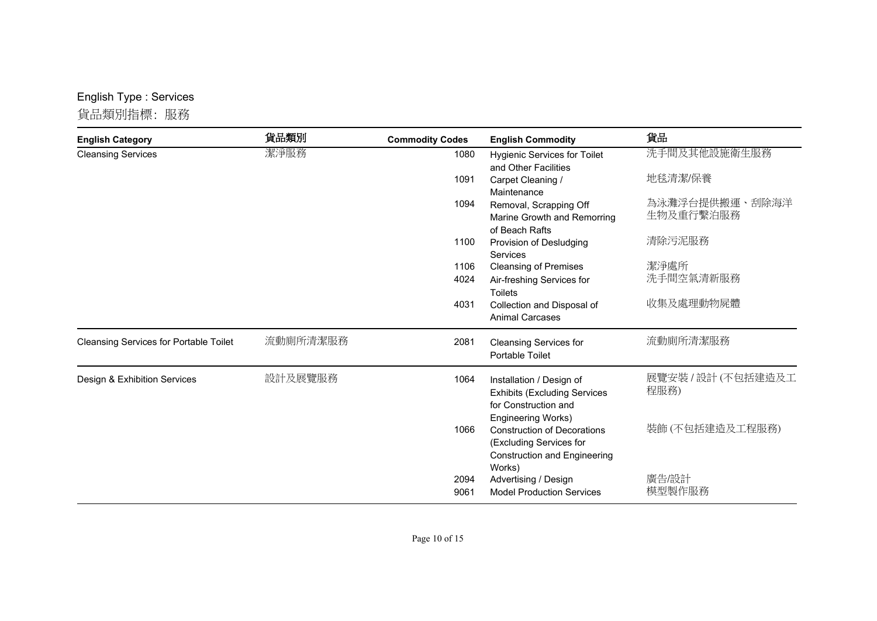## English Type : Services

貨品類別指標: 服務

| <b>English Category</b>                       | 貨品類別     | <b>Commodity Codes</b> | <b>English Commodity</b>                                                                                                             | 貨品                          |
|-----------------------------------------------|----------|------------------------|--------------------------------------------------------------------------------------------------------------------------------------|-----------------------------|
| <b>Cleansing Services</b>                     | 潔淨服務     | 1080                   | <b>Hygienic Services for Toilet</b><br>and Other Facilities                                                                          | 洗手間及其他設施衛生服務                |
|                                               |          | 1091                   | Carpet Cleaning /<br>Maintenance                                                                                                     | 地毯清潔/保養                     |
|                                               |          | 1094                   | Removal, Scrapping Off<br>Marine Growth and Remorring<br>of Beach Rafts                                                              | 為泳灘浮台提供搬運、刮除海洋<br>生物及重行繫泊服務 |
|                                               |          | 1100                   | Provision of Desludging<br>Services                                                                                                  | 清除污泥服務                      |
|                                               |          | 1106                   | <b>Cleansing of Premises</b>                                                                                                         | 潔淨處所                        |
|                                               |          | 4024                   | Air-freshing Services for<br><b>Toilets</b>                                                                                          | 洗手間空氣清新服務                   |
|                                               |          | 4031                   | Collection and Disposal of<br><b>Animal Carcases</b>                                                                                 | 收集及處理動物屍體                   |
| <b>Cleansing Services for Portable Toilet</b> | 流動廁所清潔服務 | 2081                   | <b>Cleansing Services for</b><br>Portable Toilet                                                                                     | 流動廁所清潔服務                    |
| Design & Exhibition Services                  | 設計及展覽服務  | 1064                   | Installation / Design of<br><b>Exhibits (Excluding Services</b><br>for Construction and                                              | 展覽安裝 / 設計 (不包括建造及工<br>程服務)  |
|                                               |          | 1066                   | Engineering Works)<br><b>Construction of Decorations</b><br>(Excluding Services for<br><b>Construction and Engineering</b><br>Works) | 裝飾(不包括建造及工程服務)              |
|                                               |          | 2094<br>9061           | Advertising / Design<br><b>Model Production Services</b>                                                                             | 廣告/設計<br>模型製作服務             |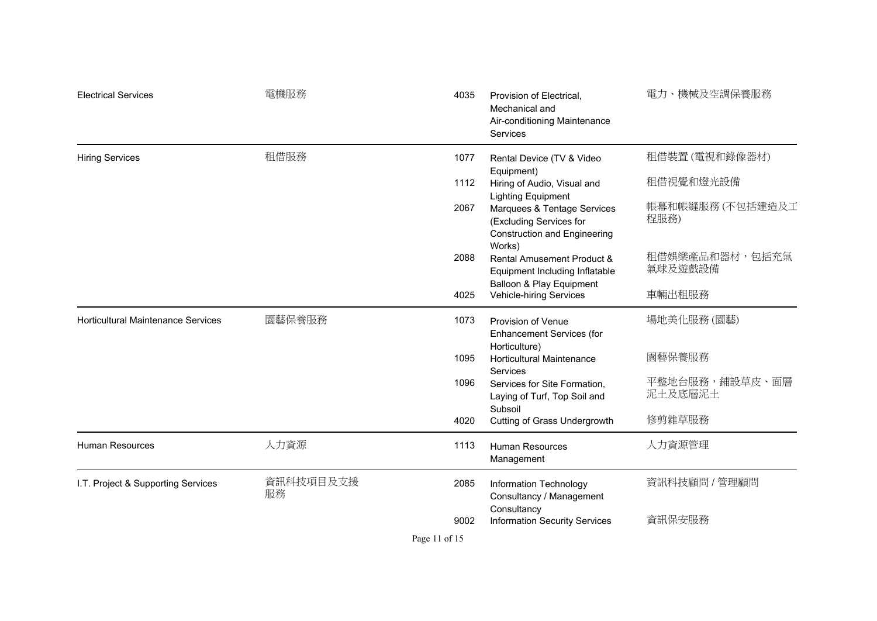| <b>Electrical Services</b>                | 電機服務            | 4035 | Provision of Electrical,<br>Mechanical and<br>Air-conditioning Maintenance<br>Services                                     | 電力、機械及空調保養服務              |
|-------------------------------------------|-----------------|------|----------------------------------------------------------------------------------------------------------------------------|---------------------------|
| <b>Hiring Services</b>                    | 租借服務            | 1077 | Rental Device (TV & Video                                                                                                  | 租借裝置(電視和錄像器材)             |
|                                           |                 | 1112 | Equipment)<br>Hiring of Audio, Visual and                                                                                  | 租借視覺和燈光設備                 |
|                                           |                 | 2067 | <b>Lighting Equipment</b><br>Marquees & Tentage Services<br>(Excluding Services for<br><b>Construction and Engineering</b> | 帳幕和帳縫服務 (不包括建造及工<br>程服務)  |
|                                           |                 | 2088 | Works)<br>Rental Amusement Product &<br>Equipment Including Inflatable<br>Balloon & Play Equipment                         | 租借娛樂產品和器材,包括充氣<br>氣球及遊戲設備 |
|                                           |                 | 4025 | Vehicle-hiring Services                                                                                                    | 車輛出租服務                    |
| <b>Horticultural Maintenance Services</b> | 園藝保養服務          | 1073 | Provision of Venue<br><b>Enhancement Services (for</b>                                                                     | 場地美化服務 (園藝)               |
|                                           |                 | 1095 | Horticulture)<br><b>Horticultural Maintenance</b><br>Services                                                              | 園藝保養服務                    |
|                                           |                 | 1096 | Services for Site Formation,<br>Laying of Turf, Top Soil and<br>Subsoil                                                    | 平整地台服務,鋪設草皮、面層<br>泥土及底層泥土 |
|                                           |                 | 4020 | Cutting of Grass Undergrowth                                                                                               | 修剪雜草服務                    |
| Human Resources                           | 人力資源            | 1113 | <b>Human Resources</b><br>Management                                                                                       | 人力資源管理                    |
| I.T. Project & Supporting Services        | 資訊科技項目及支援<br>服務 | 2085 | <b>Information Technology</b><br>Consultancy / Management                                                                  | 資訊科技顧問 / 管理顧問             |
|                                           |                 | 9002 | Consultancy<br><b>Information Security Services</b>                                                                        | 資訊保安服務                    |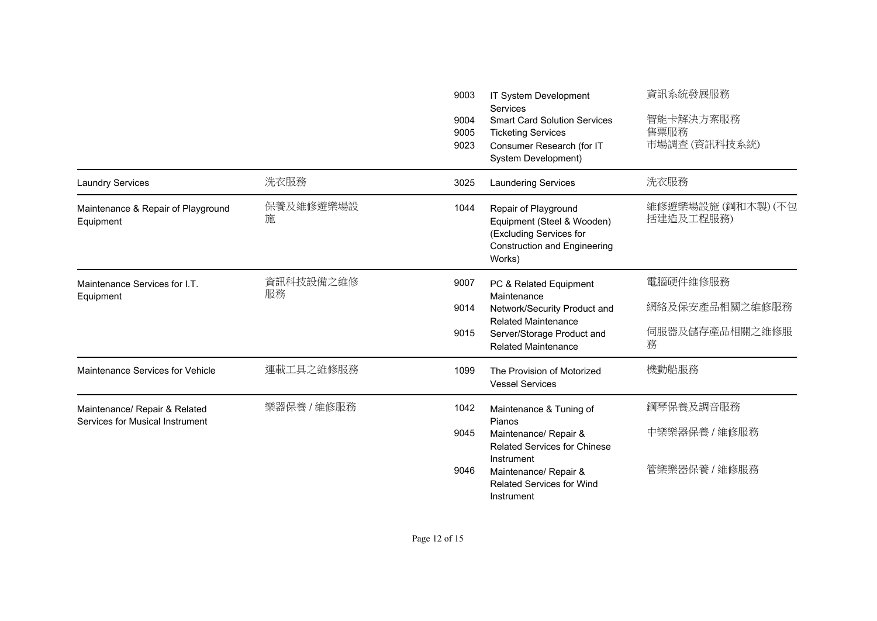|                                                                  |                 | 9003<br>9004<br>9005<br>9023 | IT System Development<br>Services<br><b>Smart Card Solution Services</b><br><b>Ticketing Services</b><br>Consumer Research (for IT<br>System Development)                                  | 資訊系統發展服務<br>智能卡解決方案服務<br>售票服務<br>市場調査(資訊科技系統)     |
|------------------------------------------------------------------|-----------------|------------------------------|--------------------------------------------------------------------------------------------------------------------------------------------------------------------------------------------|---------------------------------------------------|
| <b>Laundry Services</b>                                          | 洗衣服務            | 3025                         | <b>Laundering Services</b>                                                                                                                                                                 | 洗衣服務                                              |
| Maintenance & Repair of Playground<br>Equipment                  | 保養及維修遊樂場設<br>施  | 1044                         | Repair of Playground<br>Equipment (Steel & Wooden)<br>(Excluding Services for<br><b>Construction and Engineering</b><br>Works)                                                             | 維修遊樂場設施 (鋼和木製) (不包<br>括建造及工程服務)                   |
| Maintenance Services for I.T.<br>Equipment                       | 資訊科技設備之維修<br>服務 | 9007<br>9014<br>9015         | PC & Related Equipment<br>Maintenance<br>Network/Security Product and<br><b>Related Maintenance</b><br>Server/Storage Product and<br><b>Related Maintenance</b>                            | 電腦硬件維修服務<br>網絡及保安產品相關之維修服務<br>伺服器及儲存產品相關之維修服<br>務 |
| Maintenance Services for Vehicle                                 | 運載工具之維修服務       | 1099                         | The Provision of Motorized<br><b>Vessel Services</b>                                                                                                                                       | 機動船服務                                             |
| Maintenance/ Repair & Related<br>Services for Musical Instrument | 樂器保養 / 維修服務     | 1042<br>9045<br>9046         | Maintenance & Tuning of<br>Pianos<br>Maintenance/ Repair &<br><b>Related Services for Chinese</b><br>Instrument<br>Maintenance/ Repair &<br><b>Related Services for Wind</b><br>Instrument | 鋼琴保養及調音服務<br>中樂樂器保養 / 維修服務<br>管樂樂器保養 / 維修服務       |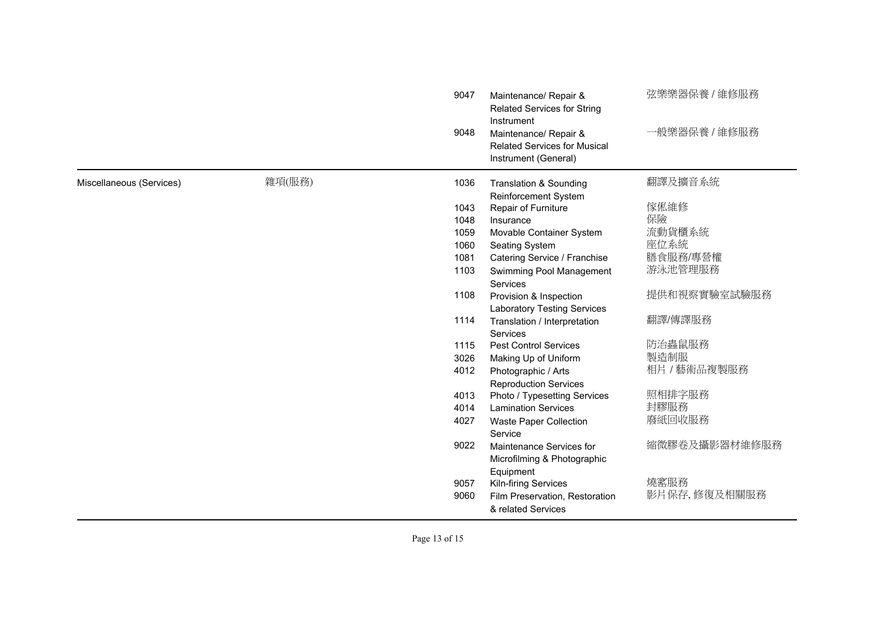| 9048                                       | Instrument<br>Maintenance/ Repair &<br><b>Related Services for Musical</b><br>Instrument (General) | 一般樂器保養 / 維修服務  |
|--------------------------------------------|----------------------------------------------------------------------------------------------------|----------------|
| 雜項(服務)<br>Miscellaneous (Services)<br>1036 | <b>Translation &amp; Sounding</b>                                                                  | 翻譯及擴音系統        |
|                                            | Reinforcement System                                                                               |                |
| 1043                                       | Repair of Furniture                                                                                | 傢俬維修           |
| 1048                                       | Insurance                                                                                          | 保險             |
| 1059                                       | Movable Container System                                                                           | 流動貨櫃系統<br>座位系統 |
| 1060<br>1081                               | Seating System                                                                                     | 膳食服務/專營權       |
| 1103                                       | Catering Service / Franchise                                                                       | 游泳池管理服務        |
|                                            | Swimming Pool Management<br>Services                                                               |                |
| 1108                                       | Provision & Inspection                                                                             | 提供和視察實驗室試驗服務   |
|                                            | <b>Laboratory Testing Services</b>                                                                 |                |
| 1114                                       | Translation / Interpretation                                                                       | 翻譯/傳譯服務        |
|                                            | Services                                                                                           |                |
| 1115                                       | <b>Pest Control Services</b>                                                                       | 防治蟲鼠服務         |
| 3026                                       | Making Up of Uniform                                                                               | 製造制服           |
| 4012                                       | Photographic / Arts                                                                                | 相片 / 藝術品複製服務   |
|                                            | <b>Reproduction Services</b>                                                                       |                |
| 4013                                       | Photo / Typesetting Services                                                                       | 照相排字服務         |
| 4014                                       | <b>Lamination Services</b>                                                                         | 封膠服務           |
| 4027                                       | Waste Paper Collection                                                                             | 廢紙回收服務         |
|                                            | Service                                                                                            |                |
| 9022                                       | Maintenance Services for                                                                           | 縮微膠卷及攝影器材維修服務  |
|                                            | Microfilming & Photographic                                                                        |                |
|                                            | Equipment                                                                                          |                |
| 9057                                       | Kiln-firing Services                                                                               | 燒窰服務           |
| 9060                                       | Film Preservation, Restoration<br>& related Services                                               | 影片保存,修復及相關服務   |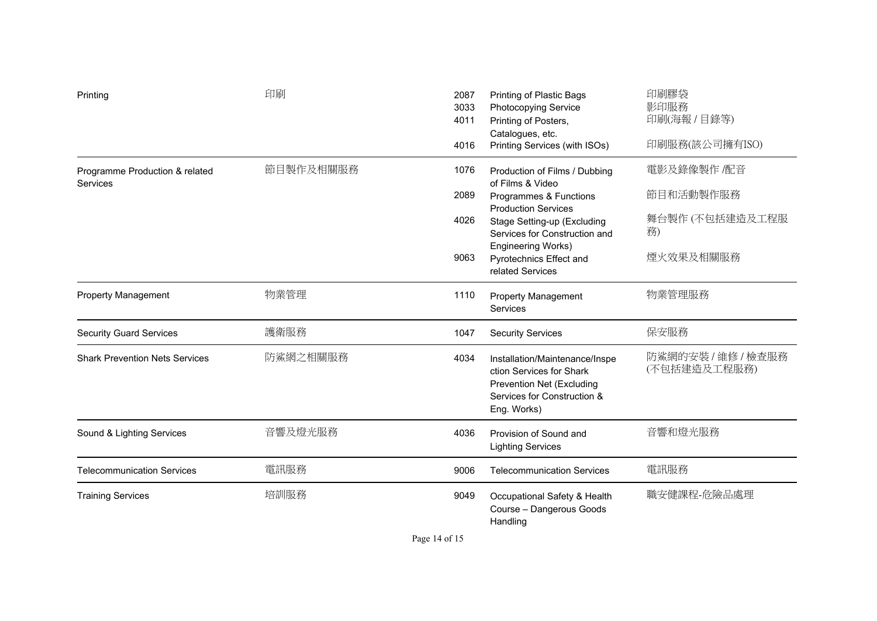| Printing                                   | 印刷        | 2087<br>3033<br>4011<br>4016 | Printing of Plastic Bags<br><b>Photocopying Service</b><br>Printing of Posters,<br>Catalogues, etc.<br>Printing Services (with ISOs)                                                                                                           | 印刷膠袋<br>影印服務<br>印刷(海報 / 目錄等)<br>印刷服務(該公司擁有ISO)                 |
|--------------------------------------------|-----------|------------------------------|------------------------------------------------------------------------------------------------------------------------------------------------------------------------------------------------------------------------------------------------|----------------------------------------------------------------|
| Programme Production & related<br>Services | 節目製作及相關服務 | 1076<br>2089<br>4026<br>9063 | Production of Films / Dubbing<br>of Films & Video<br>Programmes & Functions<br><b>Production Services</b><br>Stage Setting-up (Excluding<br>Services for Construction and<br>Engineering Works)<br>Pyrotechnics Effect and<br>related Services | 電影及錄像製作 /配音<br>節目和活動製作服務<br>舞台製作 (不包括建造及工程服<br>務)<br>煙火效果及相關服務 |
| <b>Property Management</b>                 | 物業管理      | 1110                         | <b>Property Management</b><br><b>Services</b>                                                                                                                                                                                                  | 物業管理服務                                                         |
| <b>Security Guard Services</b>             | 護衛服務      | 1047                         | <b>Security Services</b>                                                                                                                                                                                                                       | 保安服務                                                           |
| <b>Shark Prevention Nets Services</b>      | 防鯊網之相關服務  | 4034                         | Installation/Maintenance/Inspe<br>ction Services for Shark<br>Prevention Net (Excluding<br>Services for Construction &<br>Eng. Works)                                                                                                          | 防鯊網的安裝 / 維修 / 檢查服務<br>(不包括建造及工程服務)                             |
| Sound & Lighting Services                  | 音響及燈光服務   | 4036                         | Provision of Sound and<br><b>Lighting Services</b>                                                                                                                                                                                             | 音響和燈光服務                                                        |
| <b>Telecommunication Services</b>          | 電訊服務      | 9006                         | <b>Telecommunication Services</b>                                                                                                                                                                                                              | 電訊服務                                                           |
| <b>Training Services</b>                   | 培訓服務      | 9049                         | Occupational Safety & Health<br>Course - Dangerous Goods<br>Handling                                                                                                                                                                           | 職安健課程-危險品處理                                                    |